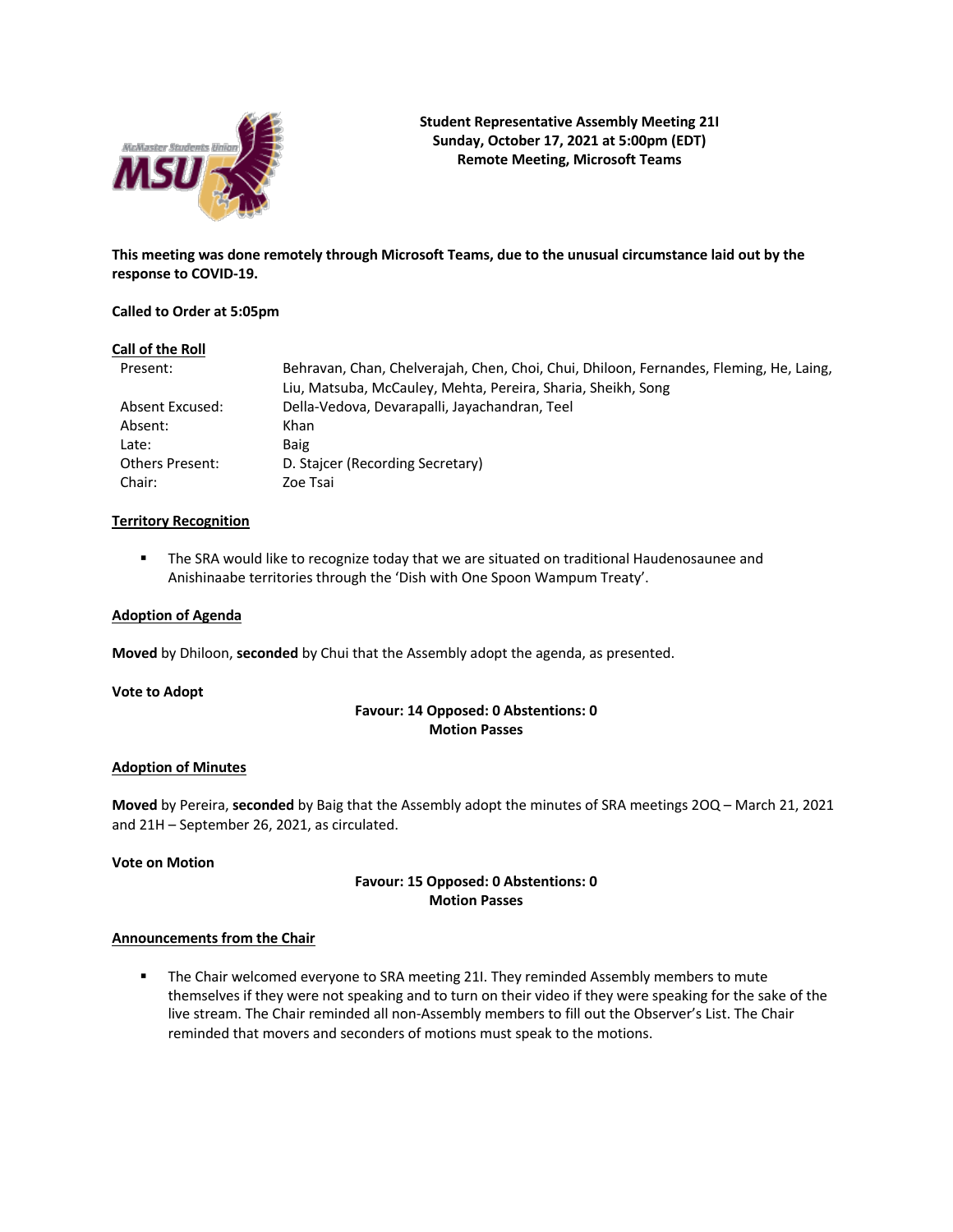

**Student Representative Assembly Meeting 21I Sunday, October 17, 2021 at 5:00pm (EDT) Remote Meeting, Microsoft Teams**

**This meeting was done remotely through Microsoft Teams, due to the unusual circumstance laid out by the response to COVID-19.**

## **Called to Order at 5:05pm**

## **Call of the Roll**

| Present:               | Behravan, Chan, Chelverajah, Chen, Choi, Chui, Dhiloon, Fernandes, Fleming, He, Laing, |
|------------------------|----------------------------------------------------------------------------------------|
|                        | Liu, Matsuba, McCauley, Mehta, Pereira, Sharia, Sheikh, Song                           |
| Absent Excused:        | Della-Vedova, Devarapalli, Jayachandran, Teel                                          |
| Absent:                | Khan                                                                                   |
| Late:                  | <b>Baig</b>                                                                            |
| <b>Others Present:</b> | D. Staicer (Recording Secretary)                                                       |
| Chair:                 | Zoe Tsai                                                                               |

## **Territory Recognition**

**• The SRA would like to recognize today that we are situated on traditional Haudenosaunee and** Anishinaabe territories through the 'Dish with One Spoon Wampum Treaty'.

## **Adoption of Agenda**

**Moved** by Dhiloon, **seconded** by Chui that the Assembly adopt the agenda, as presented.

#### **Vote to Adopt**

## **Favour: 14 Opposed: 0 Abstentions: 0 Motion Passes**

## **Adoption of Minutes**

**Moved** by Pereira, **seconded** by Baig that the Assembly adopt the minutes of SRA meetings 2OQ – March 21, 2021 and 21H – September 26, 2021, as circulated.

## **Vote on Motion**

## **Favour: 15 Opposed: 0 Abstentions: 0 Motion Passes**

## **Announcements from the Chair**

**• The Chair welcomed everyone to SRA meeting 21I. They reminded Assembly members to mute** themselves if they were not speaking and to turn on their video if they were speaking for the sake of the live stream. The Chair reminded all non-Assembly members to fill out the Observer's List. The Chair reminded that movers and seconders of motions must speak to the motions.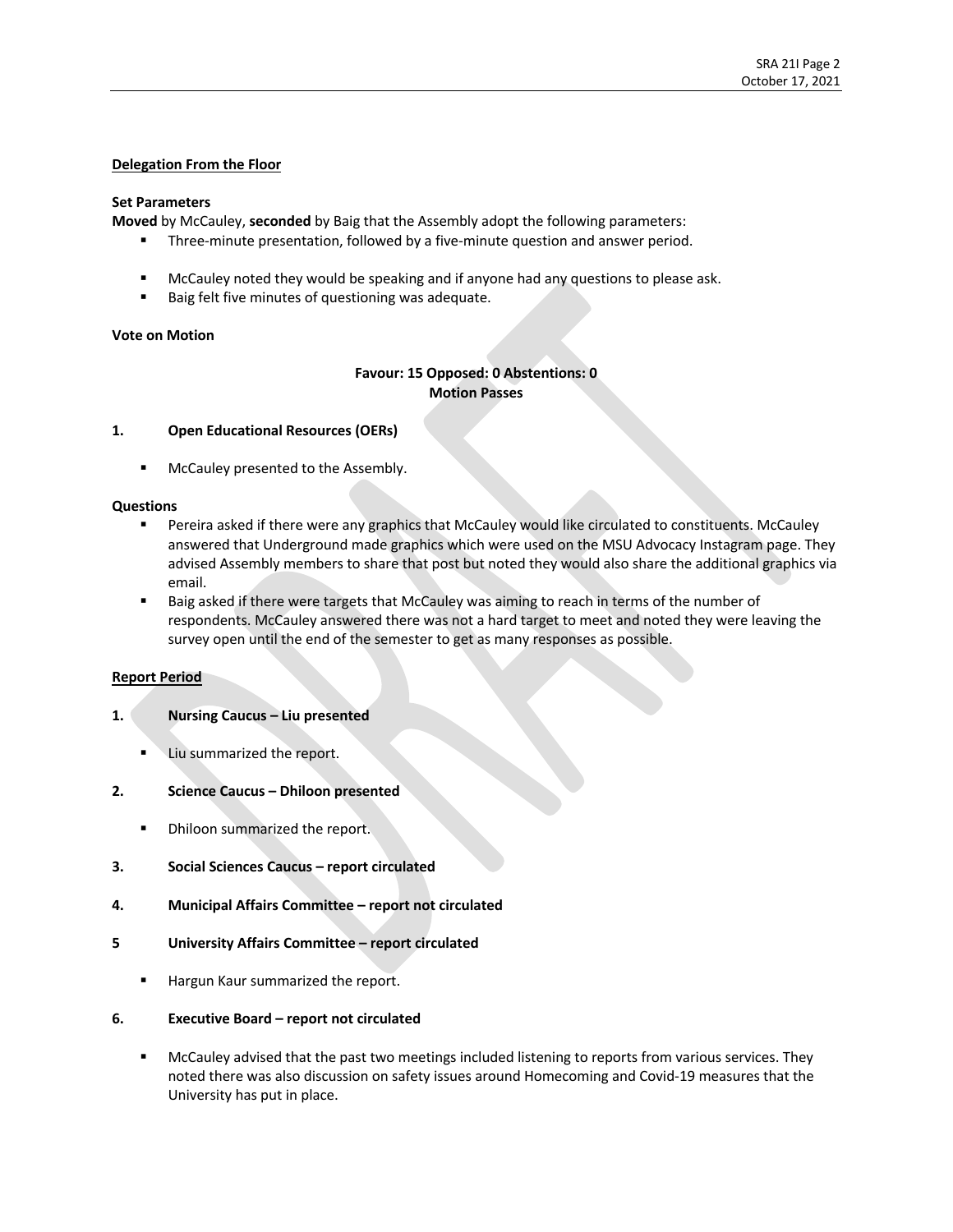## **Delegation From the Floor**

## **Set Parameters**

**Moved** by McCauley, **seconded** by Baig that the Assembly adopt the following parameters:

- **•** Three-minute presentation, followed by a five-minute question and answer period.
- **■** McCauley noted they would be speaking and if anyone had any questions to please ask.
- Baig felt five minutes of questioning was adequate.

## **Vote on Motion**

# **Favour: 15 Opposed: 0 Abstentions: 0 Motion Passes**

## **1. Open Educational Resources (OERs)**

§ McCauley presented to the Assembly.

## **Questions**

- Pereira asked if there were any graphics that McCauley would like circulated to constituents. McCauley answered that Underground made graphics which were used on the MSU Advocacy Instagram page. They advised Assembly members to share that post but noted they would also share the additional graphics via email.
- Baig asked if there were targets that McCauley was aiming to reach in terms of the number of respondents. McCauley answered there was not a hard target to meet and noted they were leaving the survey open until the end of the semester to get as many responses as possible.

## **Report Period**

- **1. Nursing Caucus – Liu presented**
	- § Liu summarized the report.
- **2. Science Caucus – Dhiloon presented**
	- **Dhiloon summarized the report.**
- **3. Social Sciences Caucus – report circulated**
- **4. Municipal Affairs Committee – report not circulated**
- **5 University Affairs Committee – report circulated**
	- Hargun Kaur summarized the report.
- **6. Executive Board – report not circulated**
	- § McCauley advised that the past two meetings included listening to reports from various services. They noted there was also discussion on safety issues around Homecoming and Covid-19 measures that the University has put in place.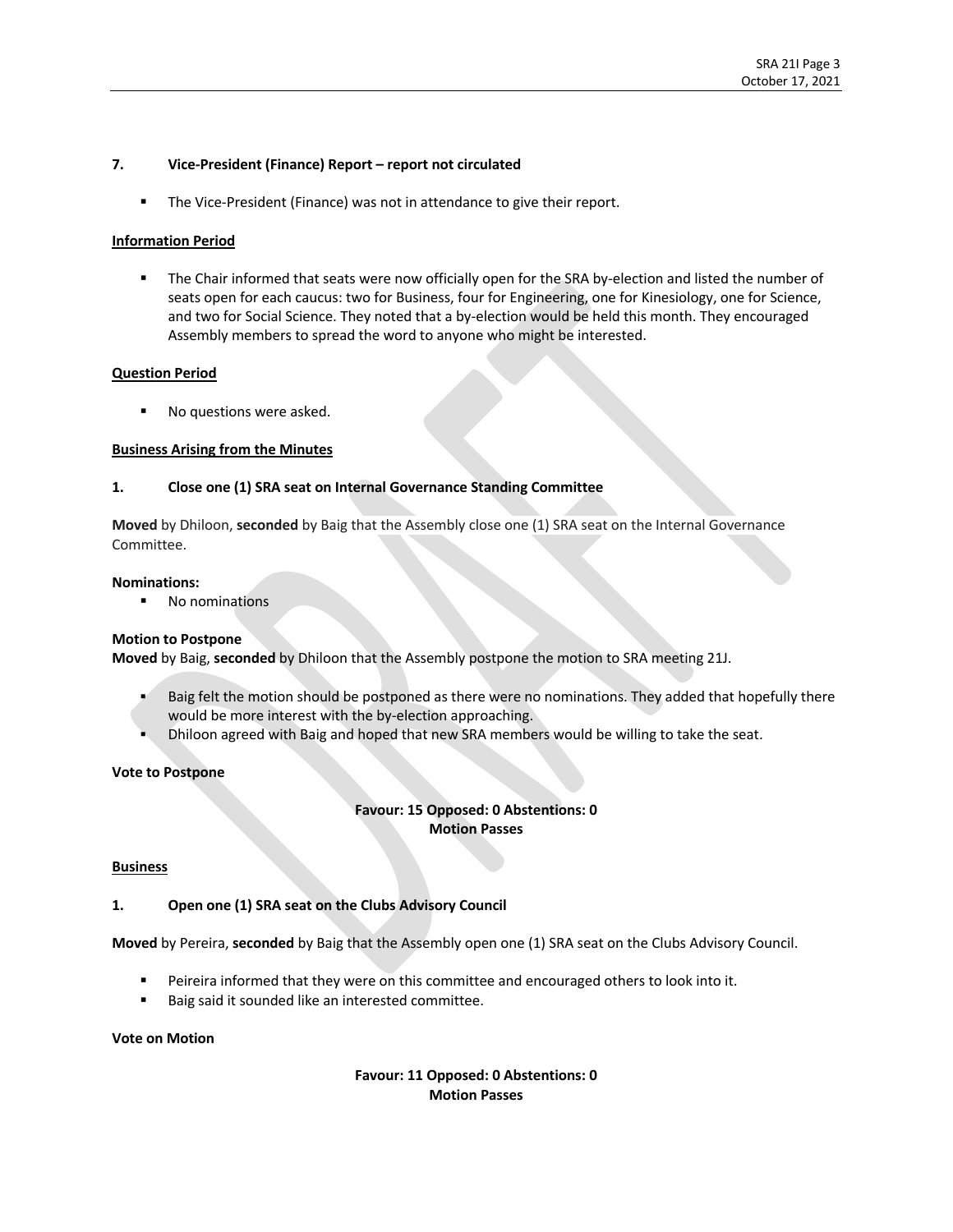## **7. Vice-President (Finance) Report – report not circulated**

■ The Vice-President (Finance) was not in attendance to give their report.

## **Information Period**

■ The Chair informed that seats were now officially open for the SRA by-election and listed the number of seats open for each caucus: two for Business, four for Engineering, one for Kinesiology, one for Science, and two for Social Science. They noted that a by-election would be held this month. They encouraged Assembly members to spread the word to anyone who might be interested.

## **Question Period**

No questions were asked.

## **Business Arising from the Minutes**

## **1. Close one (1) SRA seat on Internal Governance Standing Committee**

**Moved** by Dhiloon, **seconded** by Baig that the Assembly close one (1) SRA seat on the Internal Governance Committee.

#### **Nominations:**

§ No nominations

## **Motion to Postpone**

**Moved** by Baig, **seconded** by Dhiloon that the Assembly postpone the motion to SRA meeting 21J.

- Baig felt the motion should be postponed as there were no nominations. They added that hopefully there would be more interest with the by-election approaching.
- § Dhiloon agreed with Baig and hoped that new SRA members would be willing to take the seat.

## **Vote to Postpone**

# **Favour: 15 Opposed: 0 Abstentions: 0 Motion Passes**

## **Business**

## **1. Open one (1) SRA seat on the Clubs Advisory Council**

**Moved** by Pereira, **seconded** by Baig that the Assembly open one (1) SRA seat on the Clubs Advisory Council.

- Peireira informed that they were on this committee and encouraged others to look into it.
- Baig said it sounded like an interested committee.

## **Vote on Motion**

## **Favour: 11 Opposed: 0 Abstentions: 0 Motion Passes**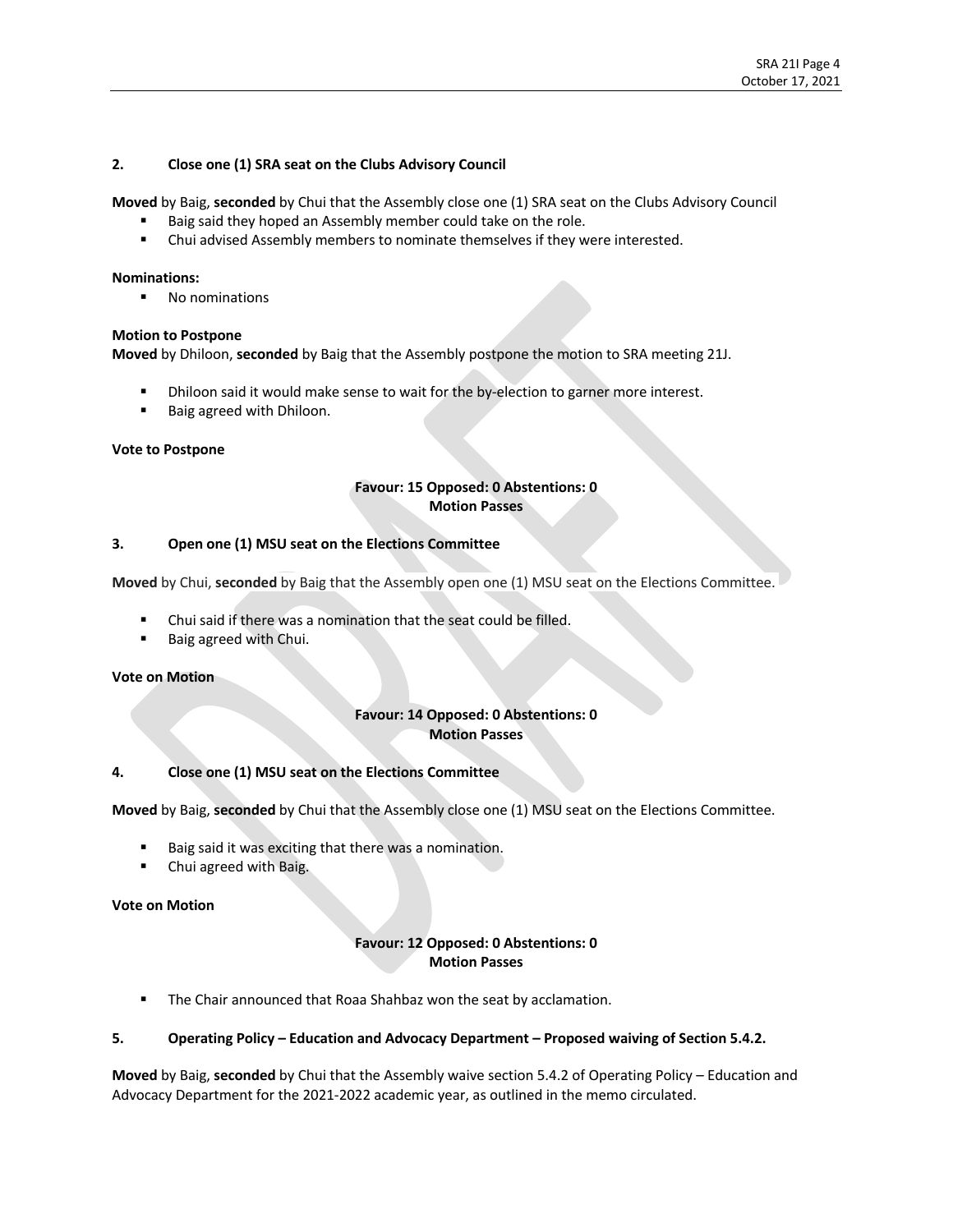## **2. Close one (1) SRA seat on the Clubs Advisory Council**

**Moved** by Baig, **seconded** by Chui that the Assembly close one (1) SRA seat on the Clubs Advisory Council

- Baig said they hoped an Assembly member could take on the role.
- Chui advised Assembly members to nominate themselves if they were interested.

## **Nominations:**

§ No nominations

## **Motion to Postpone**

**Moved** by Dhiloon, **seconded** by Baig that the Assembly postpone the motion to SRA meeting 21J.

- Dhiloon said it would make sense to wait for the by-election to garner more interest.
- Baig agreed with Dhiloon.

## **Vote to Postpone**

## **Favour: 15 Opposed: 0 Abstentions: 0 Motion Passes**

## **3. Open one (1) MSU seat on the Elections Committee**

**Moved** by Chui, **seconded** by Baig that the Assembly open one (1) MSU seat on the Elections Committee.

- Chui said if there was a nomination that the seat could be filled.
- Baig agreed with Chui.

## **Vote on Motion**

## **Favour: 14 Opposed: 0 Abstentions: 0 Motion Passes**

## **4. Close one (1) MSU seat on the Elections Committee**

**Moved** by Baig, **seconded** by Chui that the Assembly close one (1) MSU seat on the Elections Committee.

- Baig said it was exciting that there was a nomination.
- § Chui agreed with Baig.

## **Vote on Motion**

# **Favour: 12 Opposed: 0 Abstentions: 0 Motion Passes**

■ The Chair announced that Roaa Shahbaz won the seat by acclamation.

## **5. Operating Policy – Education and Advocacy Department – Proposed waiving of Section 5.4.2.**

**Moved** by Baig, **seconded** by Chui that the Assembly waive section 5.4.2 of Operating Policy – Education and Advocacy Department for the 2021-2022 academic year, as outlined in the memo circulated.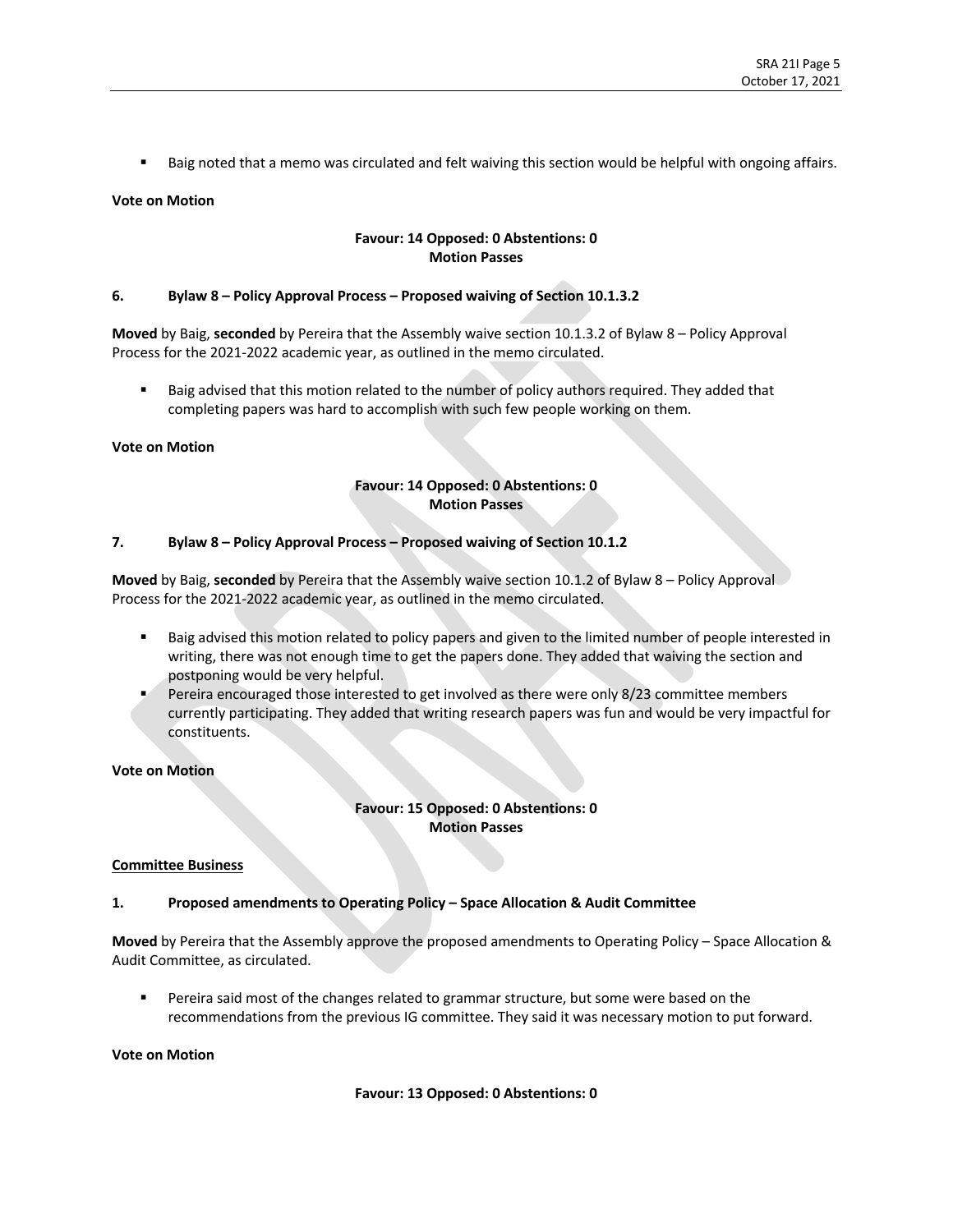■ Baig noted that a memo was circulated and felt waiving this section would be helpful with ongoing affairs.

## **Vote on Motion**

## **Favour: 14 Opposed: 0 Abstentions: 0 Motion Passes**

## **6. Bylaw 8 – Policy Approval Process – Proposed waiving of Section 10.1.3.2**

**Moved** by Baig, **seconded** by Pereira that the Assembly waive section 10.1.3.2 of Bylaw 8 – Policy Approval Process for the 2021-2022 academic year, as outlined in the memo circulated. 

Baig advised that this motion related to the number of policy authors required. They added that completing papers was hard to accomplish with such few people working on them.

## **Vote on Motion**

# **Favour: 14 Opposed: 0 Abstentions: 0 Motion Passes**

## **7. Bylaw 8 – Policy Approval Process – Proposed waiving of Section 10.1.2**

**Moved** by Baig, **seconded** by Pereira that the Assembly waive section 10.1.2 of Bylaw 8 – Policy Approval Process for the 2021-2022 academic year, as outlined in the memo circulated.

- Baig advised this motion related to policy papers and given to the limited number of people interested in writing, there was not enough time to get the papers done. They added that waiving the section and postponing would be very helpful.
- Pereira encouraged those interested to get involved as there were only 8/23 committee members currently participating. They added that writing research papers was fun and would be very impactful for constituents.

## **Vote on Motion**

**Favour: 15 Opposed: 0 Abstentions: 0 Motion Passes**

## **Committee Business**

## **1. Proposed amendments to Operating Policy – Space Allocation & Audit Committee**

**Moved** by Pereira that the Assembly approve the proposed amendments to Operating Policy – Space Allocation & Audit Committee, as circulated.

■ Pereira said most of the changes related to grammar structure, but some were based on the recommendations from the previous IG committee. They said it was necessary motion to put forward.

#### **Vote on Motion**

## **Favour: 13 Opposed: 0 Abstentions: 0**